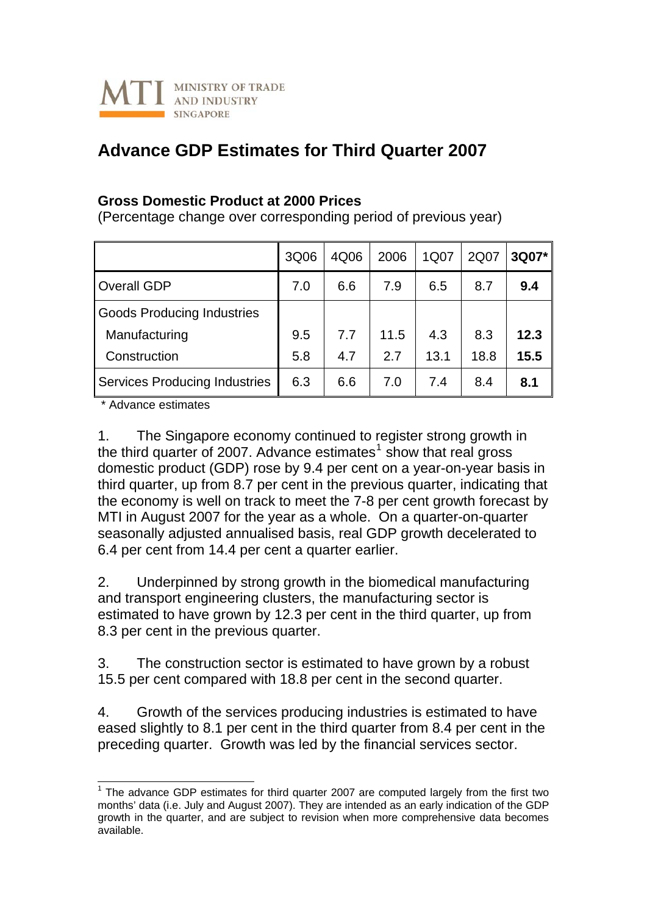

## **Advance GDP Estimates for Third Quarter 2007**

## **Gross Domestic Product at 2000 Prices**

(Percentage change over corresponding period of previous year)

|                                      | 3Q06 | 4Q06 | 2006 | 1Q07 | 2Q07 | 3Q07* |
|--------------------------------------|------|------|------|------|------|-------|
| <b>Overall GDP</b>                   | 7.0  | 6.6  | 7.9  | 6.5  | 8.7  | 9.4   |
| <b>Goods Producing Industries</b>    |      |      |      |      |      |       |
| Manufacturing                        | 9.5  | 7.7  | 11.5 | 4.3  | 8.3  | 12.3  |
| Construction                         | 5.8  | 4.7  | 2.7  | 13.1 | 18.8 | 15.5  |
| <b>Services Producing Industries</b> | 6.3  | 6.6  | 7.0  | 7.4  | 8.4  | 8.1   |

\* Advance estimates

1. The Singapore economy continued to register strong growth in the third quarter of 2007. Advance estimates<sup>[1](#page-0-0)</sup> show that real gross domestic product (GDP) rose by 9.4 per cent on a year-on-year basis in third quarter, up from 8.7 per cent in the previous quarter, indicating that the economy is well on track to meet the 7-8 per cent growth forecast by MTI in August 2007 for the year as a whole. On a quarter-on-quarter seasonally adjusted annualised basis, real GDP growth decelerated to 6.4 per cent from 14.4 per cent a quarter earlier.

2. Underpinned by strong growth in the biomedical manufacturing and transport engineering clusters, the manufacturing sector is estimated to have grown by 12.3 per cent in the third quarter, up from 8.3 per cent in the previous quarter.

3. The construction sector is estimated to have grown by a robust 15.5 per cent compared with 18.8 per cent in the second quarter.

4. Growth of the services producing industries is estimated to have eased slightly to 8.1 per cent in the third quarter from 8.4 per cent in the preceding quarter. Growth was led by the financial services sector.

<span id="page-0-0"></span> 1 The advance GDP estimates for third quarter 2007 are computed largely from the first two months' data (i.e. July and August 2007). They are intended as an early indication of the GDP growth in the quarter, and are subject to revision when more comprehensive data becomes available.